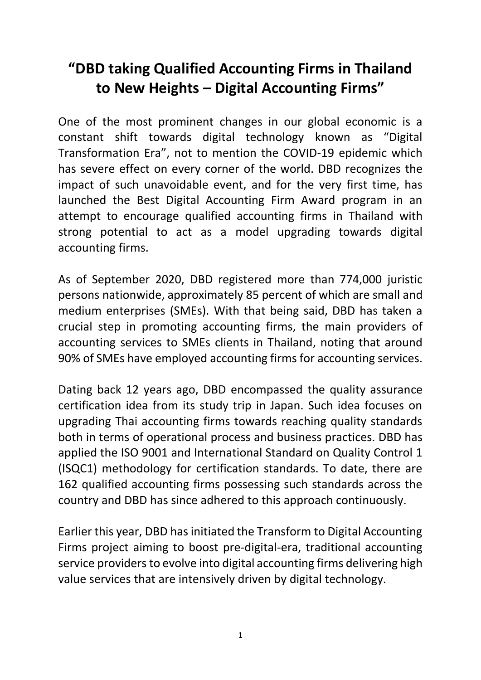## **"DBD taking Qualified Accounting Firms in Thailand to New Heights – Digital Accounting Firms"**

One of the most prominent changes in our global economic is a constant shift towards digital technology known as "Digital Transformation Era", not to mention the COVID-19 epidemic which has severe effect on every corner of the world. DBD recognizes the impact of such unavoidable event, and for the very first time, has launched the Best Digital Accounting Firm Award program in an attempt to encourage qualified accounting firms in Thailand with strong potential to act as a model upgrading towards digital accounting firms.

As of September 2020, DBD registered more than 774,000 juristic persons nationwide, approximately 85 percent of which are small and medium enterprises (SMEs). With that being said, DBD has taken a crucial step in promoting accounting firms, the main providers of accounting services to SMEs clients in Thailand, noting that around 90% of SMEs have employed accounting firms for accounting services.

Dating back 12 years ago, DBD encompassed the quality assurance certification idea from its study trip in Japan. Such idea focuses on upgrading Thai accounting firms towards reaching quality standards both in terms of operational process and business practices. DBD has applied the ISO 9001 and International Standard on Quality Control 1 (ISQC1) methodology for certification standards. To date, there are 162 qualified accounting firms possessing such standards across the country and DBD has since adhered to this approach continuously.

Earlier this year, DBD has initiated the Transform to Digital Accounting Firms project aiming to boost pre-digital-era, traditional accounting service providers to evolve into digital accounting firms delivering high value services that are intensively driven by digital technology.